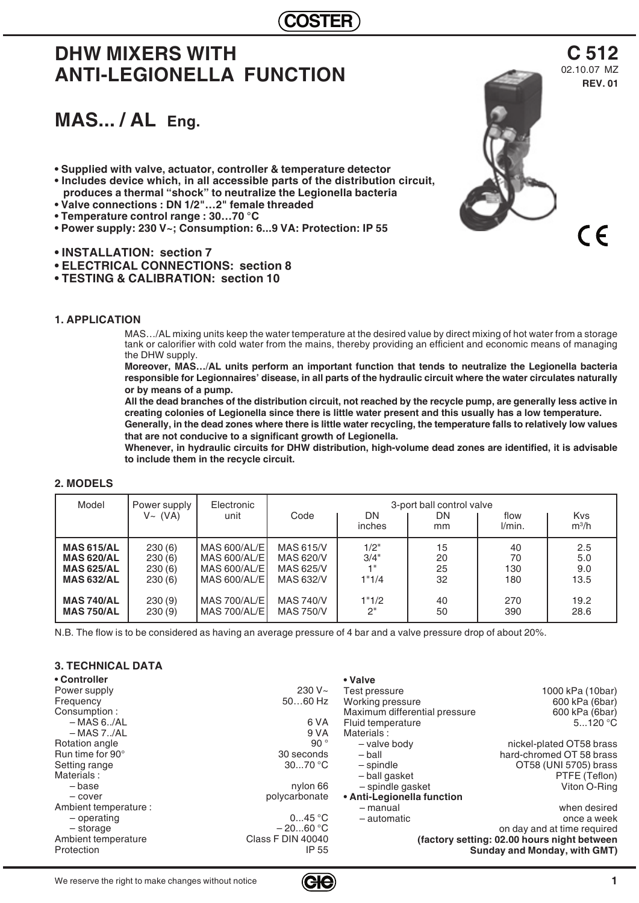## **COSTER**

# **DHW MIXERS WITH ANTI-LEGIONELLA FUNCTION**

# **MAS... / AL Eng.**

- **Supplied with valve, actuator, controller & temperature detector • Includes device which, in all accessible parts of the distribution circuit,**
- **produces a thermal "shock" to neutralize the Legionella bacteria • Valve connections : DN 1/2"…2" female threaded**
- **Temperature control range : 30…70 °C**
- **Power supply: 230 V~; Consumption: 6...9 VA: Protection: IP 55**
- **INSTALLATION: section 7**
- **ELECTRICAL CONNECTIONS: section 8**
- **TESTING & CALIBRATION: section 10**

## **1. APPLICATION**

**2. MODELS**

MAS…/AL mixing units keep the water temperature at the desired value by direct mixing of hot water from a storage tank or calorifier with cold water from the mains, thereby providing an efficient and economic means of managing the DHW supply.

**Moreover, MAS…**/**AL units perform an important function that tends to neutralize the Legionella bacteria responsible for Legionnaires' disease, in all parts of the hydraulic circuit where the water circulates naturally or by means of a pump.**

**All the dead branches of the distribution circuit, not reached by the recycle pump, are generally less active in creating colonies of Legionella since there is little water present and this usually has a low temperature. Generally, in the dead zones where there is little water recycling, the temperature falls to relatively low values** 

**that are not conducive to a significant growth of Legionella. Whenever, in hydraulic circuits for DHW distribution, high-volume dead zones are identified, it is advisable to include them in the recycle circuit.**

| Model             | Power supply<br>$V~\sim~(VA)$ | Electronic<br>unit  | Code             | DN<br>inches | 3-port ball control valve<br>DN<br>mm | flow<br>l/min. | <b>Kvs</b><br>$m^3/h$ |
|-------------------|-------------------------------|---------------------|------------------|--------------|---------------------------------------|----------------|-----------------------|
| <b>MAS 615/AL</b> | 230(6)                        | ' MAS 600/AL/EI     | <b>MAS 615/V</b> | 1/2"         | 15                                    | 40             | 2.5                   |
| <b>MAS 620/AL</b> | 230(6)                        | MAS 600/AL/EI       | MAS 620/V        | 3/4"         | 20                                    | 70             | 5.0                   |
| <b>MAS 625/AL</b> | 230(6)                        | MAS 600/AL/EI       | MAS 625/V        | 1"           | 25                                    | 130            | 9.0                   |
| <b>MAS 632/AL</b> | 230(6)                        | $MAS$ 600/AL/E      | MAS 632/V        | 1"1/4        | 32                                    | 180            | 13.5                  |
| <b>MAS 740/AL</b> | 230(9)                        | <b>MAS 700/AL/E</b> | <b>MAS 740/V</b> | 1"1/2        | 40                                    | 270            | 19.2                  |
| <b>MAS 750/AL</b> | 230(9)                        |                     | <b>MAS 750/V</b> | 2"           | 50                                    | 390            | 28.6                  |

N.B. The flow is to be considered as having an average pressure of 4 bar and a valve pressure drop of about 20%.

## **3. TECHNICAL DATA**

| • Controller          |                          | • Valve                       |                                              |
|-----------------------|--------------------------|-------------------------------|----------------------------------------------|
| Power supply          | $230 V -$                | Test pressure                 | 1000 kPa (10bar)                             |
| Frequency             | $5060$ Hz                | Working pressure              | 600 kPa (6bar)                               |
| Consumption:          |                          | Maximum differential pressure | 600 kPa (6bar)                               |
| $-MAS 6.7AL$          | 6 VA                     | Fluid temperature             | 5120 °C                                      |
| $-MAS 7./AL$          | 9 VA                     | Materials:                    |                                              |
| Rotation angle        | 90 $^{\circ}$            | - valve body                  | nickel-plated OT58 brass                     |
| Run time for 90°      | 30 seconds               | – ball                        | hard-chromed OT 58 brass                     |
| Setting range         | 3070 °C                  | – spindle                     | OT58 (UNI 5705) brass                        |
| Materials:            |                          | - ball gasket                 | PTFE (Teflon)                                |
| – base                | nylon 66                 | - spindle gasket              | Viton O-Ring                                 |
| - cover               | polycarbonate            | • Anti-Legionella function    |                                              |
| Ambient temperature : |                          | – manual                      | when desired                                 |
| - operating           | 045 °C                   | - automatic                   | once a week                                  |
| - storage             | $-2060 °C$               |                               | on day and at time required                  |
| Ambient temperature   | <b>Class F DIN 40040</b> |                               | (factory setting: 02.00 hours night between) |
| Protection            | IP 55                    |                               | Sunday and Monday, with GMT)                 |



 $C \in$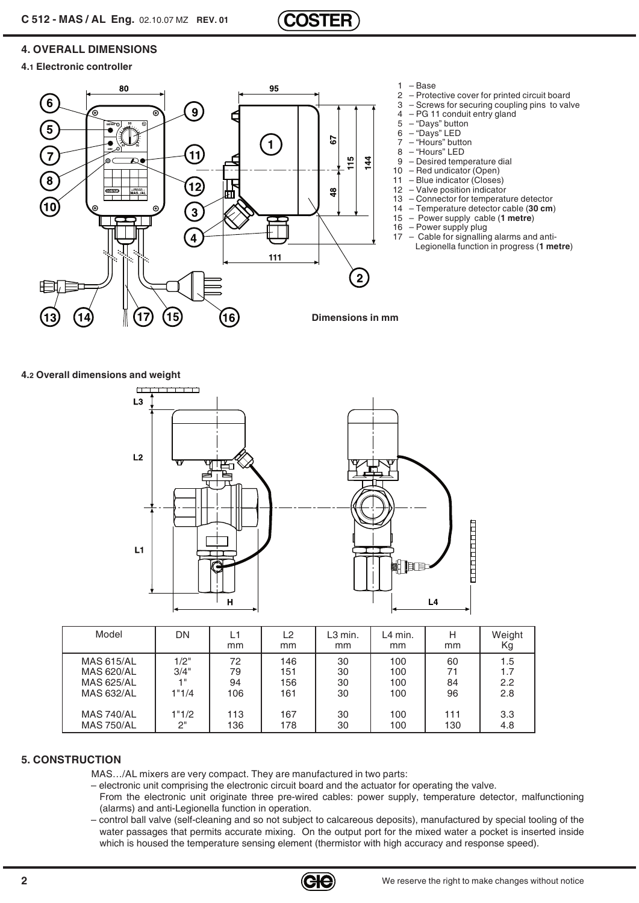

## **4. OVERALL DIMENSIONS**

## **4.1 Electronic controller**



## **4.2 Overall dimensions and weight**



| Model             | DN    | mm  | L <sub>2</sub><br><sub>mm</sub> | L <sub>3</sub> min.<br>mm | L4 min.<br>mm | mm  | Weight<br>Κg |
|-------------------|-------|-----|---------------------------------|---------------------------|---------------|-----|--------------|
| <b>MAS 615/AL</b> | 1/2"  | 72  | 146                             | 30                        | 100           | 60  | 1.5          |
| <b>MAS 620/AL</b> | 3/4"  | 79  | 151                             | 30                        | 100           | 71  | 1.7          |
| <b>MAS 625/AL</b> | 4 8   | 94  | 156                             | 30                        | 100           | 84  | 2.2          |
| <b>MAS 632/AL</b> | 1"1/4 | 106 | 161                             | 30                        | 100           | 96  | 2.8          |
| <b>MAS 740/AL</b> | 1"1/2 | 113 | 167                             | 30                        | 100           | 111 | 3.3          |
| <b>MAS 750/AL</b> | 2"    | 136 | 178                             | 30                        | 100           | 130 | 4.8          |

## **5. CONSTRUCTION**

- MAS…/AL mixers are very compact. They are manufactured in two parts:
- electronic unit comprising the electronic circuit board and the actuator for operating the valve.
- From the electronic unit originate three pre-wired cables: power supply, temperature detector, malfunctioning (alarms) and anti-Legionella function in operation.
- control ball valve (self-cleaning and so not subject to calcareous deposits), manufactured by special tooling of the water passages that permits accurate mixing. On the output port for the mixed water a pocket is inserted inside which is housed the temperature sensing element (thermistor with high accuracy and response speed).

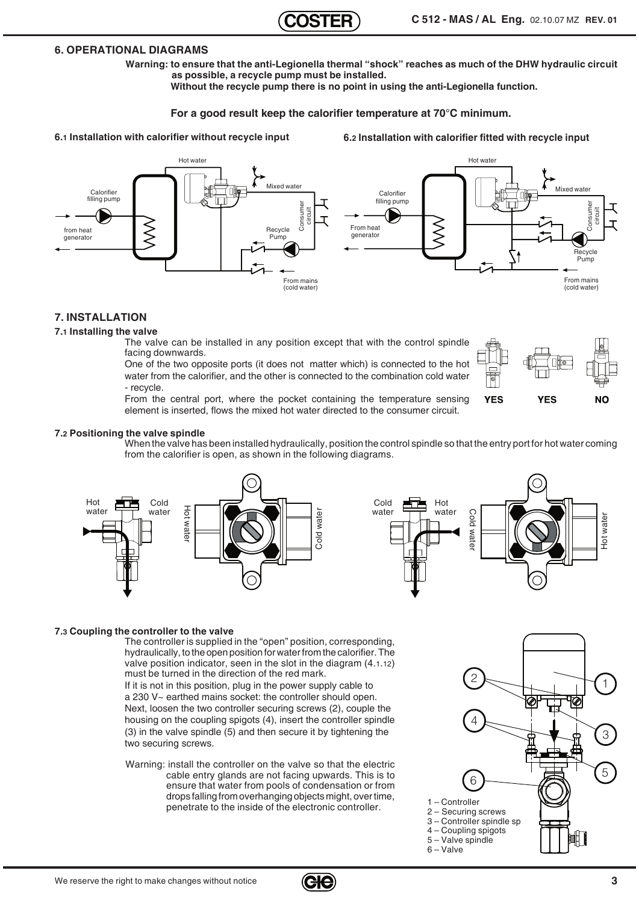## **6. OPERATIONAL DIAGRAMS**

**Warning: to ensure that the anti-Legionella thermal "shock" reaches as much of the DHW hydraulic circuit as possible, a recycle pump must be installed.** 

**Without the recycle pump there is no point in using the anti-Legionella function.**

## **For a good result keep the calorifier temperature at 70°C minimum.**

**6.1 Installation with calorifier without recycle input**

**6.2 Installation with calorifier fitted with recycle input**



## **7. INSTALLATION**

#### **7.1 Installing the valve**

The valve can be installed in any position except that with the control spindle facing downwards.

One of the two opposite ports (it does not matter which) is connected to the hot water from the calorifier, and the other is connected to the combination cold water - recycle.

**YFS YES** NΩ

From the central port, where the pocket containing the temperature sensing element is inserted, flows the mixed hot water directed to the consumer circuit.

#### **7.2 Positioning the valve spindle**

When the valve has been installed hydraulically, position the control spindle so that the entry port for hot water coming from the calorifier is open, as shown in the following diagrams.





#### **7.3 Coupling the controller to the valve**

The controller is supplied in the "open" position, corresponding, hydraulically, to the open position for water from the calorifier. The valve position indicator, seen in the slot in the diagram (4.1.12) must be turned in the direction of the red mark.

If it is not in this position, plug in the power supply cable to a 230 V~ earthed mains socket: the controller should open. Next, loosen the two controller securing screws (2), couple the housing on the coupling spigots (4), insert the controller spindle (3) in the valve spindle (5) and then secure it by tightening the two securing screws.

Warning: install the controller on the valve so that the electric cable entry glands are not facing upwards. This is to ensure that water from pools of condensation or from drops falling from overhanging objects might, over time, penetrate to the inside of the electronic controller.<br>
penetrate to the inside of the electronic controller.

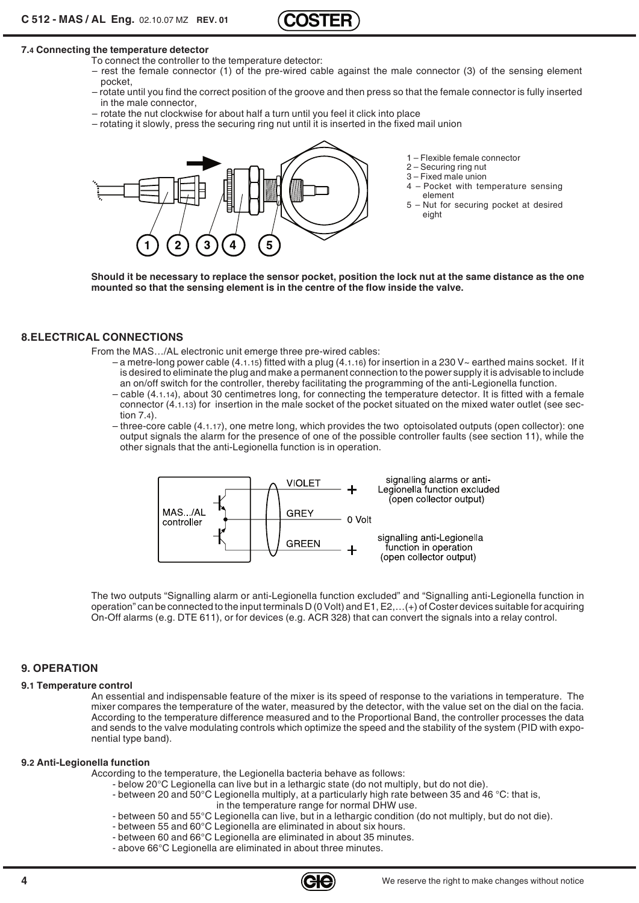

#### **7.4 Connecting the temperature detector**

- To connect the controller to the temperature detector:
- rest the female connector (1) of the pre-wired cable against the male connector (3) of the sensing element pocket,
- rotate until you find the correct position of the groove and then press so that the female connector is fully inserted in the male connector,
- rotate the nut clockwise for about half a turn until you feel it click into place
- rotating it slowly, press the securing ring nut until it is inserted in the fixed mail union



- 1 Flexible female connector
- 2 Securing ring nut
- 
- $3$  Fixed male union<br> $4$  Pocket with ter 4 – Pocket with temperature sensing element
- 5 Nut for securing pocket at desired eight

**Should it be necessary to replace the sensor pocket, position the lock nut at the same distance as the one mounted so that the sensing element is in the centre of the flow inside the valve.**

#### **8.ELECTRICAL CONNECTIONS**

From the MAS…/AL electronic unit emerge three pre-wired cables:

- $-$  a metre-long power cable (4.1.15) fitted with a plug (4.1.16) for insertion in a 230 V $\sim$  earthed mains socket. If it is desired to eliminate the plug and make a permanent connection to the power supply it is advisable to include an on/off switch for the controller, thereby facilitating the programming of the anti-Legionella function.
- cable (4.1.14), about 30 centimetres long, for connecting the temperature detector. It is fitted with a female connector (4.1.13) for insertion in the male socket of the pocket situated on the mixed water outlet (see section 7.4).
- three-core cable (4.1.17), one metre long, which provides the two optoisolated outputs (open collector): one output signals the alarm for the presence of one of the possible controller faults (see section 11), while the other signals that the anti-Legionella function is in operation.



The two outputs "Signalling alarm or anti-Legionella function excluded" and "Signalling anti-Legionella function in operation" can be connected to the input terminals  $D$  (0 Volt) and  $E1, E2, ...$  (+) of Coster devices suitable for acquiring On-Off alarms (e.g. DTE 611), or for devices (e.g. ACR 328) that can convert the signals into a relay control.

#### **9. OPERATION**

#### **9.1 Temperature control**

An essential and indispensable feature of the mixer is its speed of response to the variations in temperature. The mixer compares the temperature of the water, measured by the detector, with the value set on the dial on the facia. According to the temperature difference measured and to the Proportional Band, the controller processes the data and sends to the valve modulating controls which optimize the speed and the stability of the system (PID with exponential type band).

#### **9.2 Anti-Legionella function**

According to the temperature, the Legionella bacteria behave as follows:

- below 20°C Legionella can live but in a lethargic state (do not multiply, but do not die).
- between 20 and 50°C Legionella multiply, at a particularly high rate between 35 and 46 °C: that is, in the temperature range for normal DHW use.
- between 50 and 55°C Legionella can live, but in a lethargic condition (do not multiply, but do not die).
- between 55 and 60°C Legionella are eliminated in about six hours.
- between 60 and 66°C Legionella are eliminated in about 35 minutes.
- above 66°C Legionella are eliminated in about three minutes.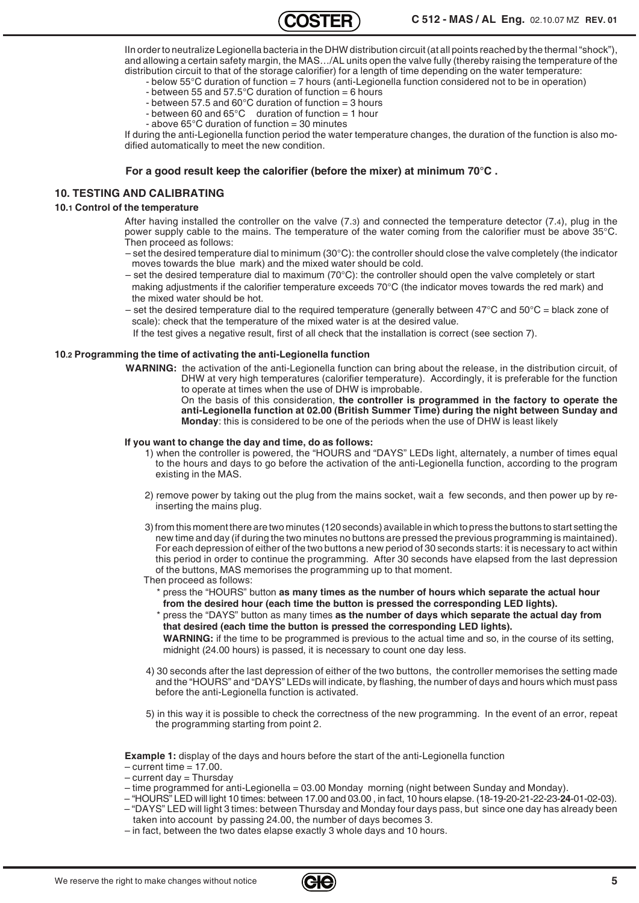IIn order to neutralize Legionella bacteria in the DHW distribution circuit (at all points reached by the thermal "shock"), and allowing a certain safety margin, the MAS…/AL units open the valve fully (thereby raising the temperature of the distribution circuit to that of the storage calorifier) for a length of time depending on the water temperature:

- below 55°C duration of function = 7 hours (anti-Legionella function considered not to be in operation) - between 55 and 57.5 $\degree$ C duration of function = 6 hours
	- between 57.5 and 60°C duration of function = 3 hours
	- between 60 and 65°C duration of function = 1 hour
	- above 65°C duration of function = 30 minutes

If during the anti-Legionella function period the water temperature changes, the duration of the function is also modified automatically to meet the new condition.

#### **For a good result keep the calorifier (before the mixer) at minimum 70°C .**

#### **10. TESTING AND CALIBRATING**

#### **10.1 Control of the temperature**

After having installed the controller on the valve (7.3) and connected the temperature detector (7.4), plug in the power supply cable to the mains. The temperature of the water coming from the calorifier must be above 35°C. Then proceed as follows:

- set the desired temperature dial to minimum (30°C): the controller should close the valve completely (the indicator moves towards the blue mark) and the mixed water should be cold.
- set the desired temperature dial to maximum ( $70^{\circ}$ C): the controller should open the valve completely or start making adjustments if the calorifier temperature exceeds 70°C (the indicator moves towards the red mark) and the mixed water should be hot.
- set the desired temperature dial to the required temperature (generally between  $47^{\circ}$ C and  $50^{\circ}$ C = black zone of scale): check that the temperature of the mixed water is at the desired value.
	- If the test gives a negative result, first of all check that the installation is correct (see section 7).

#### **10.2 Programming the time of activating the anti-Legionella function**

**WARNING:** the activation of the anti-Legionella function can bring about the release, in the distribution circuit, of DHW at very high temperatures (calorifier temperature). Accordingly, it is preferable for the function to operate at times when the use of DHW is improbable.

On the basis of this consideration, **the controller is programmed in the factory to operate the anti-Legionella function at 02.00 (British Summer Time) during the night between Sunday and Monday**: this is considered to be one of the periods when the use of DHW is least likely

#### **If you want to change the day and time, do as follows:**

- 1) when the controller is powered, the "HOURS and "DAYS" LEDs light, alternately, a number of times equal to the hours and days to go before the activation of the anti-Legionella function, according to the program existing in the MAS.
- 2) remove power by taking out the plug from the mains socket, wait a few seconds, and then power up by reinserting the mains plug.
- 3) from this moment there are two minutes (120 seconds) available in which to press the buttons to start setting the new time and day (if during the two minutes no buttons are pressed the previous programming is maintained). For each depression of either of the two buttons a new period of 30 seconds starts: it is necessary to act within this period in order to continue the programming. After 30 seconds have elapsed from the last depression of the buttons, MAS memorises the programming up to that moment.
- Then proceed as follows:
	- \* press the "HOURS" button **as many times as the number of hours which separate the actual hour from the desired hour (each time the button is pressed the corresponding LED lights).**
	- press the "DAYS" button as many times as the number of days which separate the actual day from **that desired (each time the button is pressed the corresponding LED lights).**
	- **WARNING:** if the time to be programmed is previous to the actual time and so, in the course of its setting, midnight (24.00 hours) is passed, it is necessary to count one day less.
- 4) 30 seconds after the last depression of either of the two buttons, the controller memorises the setting made and the "HOURS" and "DAYS" LEDs will indicate, by flashing, the number of days and hours which must pass before the anti-Legionella function is activated.
- 5) in this way it is possible to check the correctness of the new programming. In the event of an error, repeat the programming starting from point 2.

**Example 1:** display of the days and hours before the start of the anti-Legionella function

- $-$  current time  $= 17.00$ .
- $-$  current day  $=$  Thursday
- time programmed for anti-Legionella = 03.00 Monday morning (night between Sunday and Monday).
- "HOURS" LED will light 10 times: between 17.00 and 03.00 , in fact, 10 hours elapse. (18-19-20-21-22-23-**24**-01-02-03). – "DAYS" LED will light 3 times: between Thursday and Monday four days pass, but since one day has already been
- taken into account by passing 24.00, the number of days becomes 3. – in fact, between the two dates elapse exactly 3 whole days and 10 hours.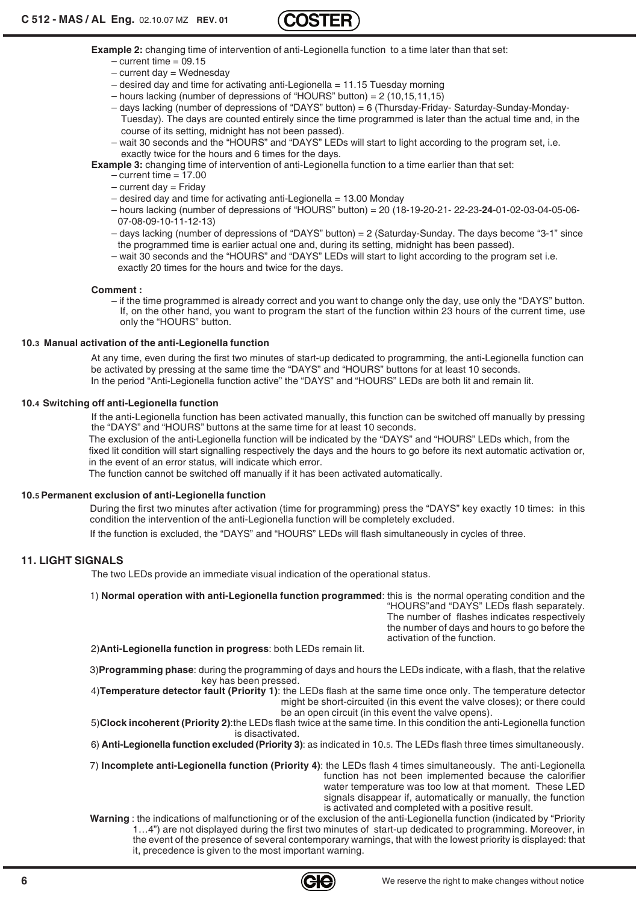

**Example 2:** changing time of intervention of anti-Legionella function to a time later than that set:

- $-$  current time  $= 09.15$
- $-$  current day  $=$  Wednesday
- $-$  desired day and time for activating anti-Legionella = 11.15 Tuesday morning
- hours lacking (number of depressions of "HOURS" button) = 2 (10,15,11,15)
- days lacking (number of depressions of "DAYS" button) = 6 (Thursday-Friday- Saturday-Sunday-Monday-Tuesday). The days are counted entirely since the time programmed is later than the actual time and, in the course of its setting, midnight has not been passed).
- wait 30 seconds and the "HOURS" and "DAYS" LEDs will start to light according to the program set, i.e. exactly twice for the hours and 6 times for the days.
- **Example 3:** changing time of intervention of anti-Legionella function to a time earlier than that set:
	- $-$  current time = 17.00
	- $-$  current day = Friday
	- $-$  desired day and time for activating anti-Legionella = 13.00 Monday
	- hours lacking (number of depressions of "HOURS" button) = 20 (18-19-20-21- 22-23-**24**-01-02-03-04-05-06- 07-08-09-10-11-12-13)
	- days lacking (number of depressions of "DAYS" button) = 2 (Saturday-Sunday. The days become "3-1" since the programmed time is earlier actual one and, during its setting, midnight has been passed).
	- wait 30 seconds and the "HOURS" and "DAYS" LEDs will start to light according to the program set i.e. exactly 20 times for the hours and twice for the days.

#### **Comment :**

– if the time programmed is already correct and you want to change only the day, use only the "DAYS" button. If, on the other hand, you want to program the start of the function within 23 hours of the current time, use only the "HOURS" button.

#### **10.3 Manual activation of the anti-Legionella function**

At any time, even during the first two minutes of start-up dedicated to programming, the anti-Legionella function can be activated by pressing at the same time the "DAYS" and "HOURS" buttons for at least 10 seconds. In the period "Anti-Legionella function active" the "DAYS" and "HOURS" LEDs are both lit and remain lit.

#### **10.4 Switching off anti-Legionella function**

If the anti-Legionella function has been activated manually, this function can be switched off manually by pressing the "DAYS" and "HOURS" buttons at the same time for at least 10 seconds.

The exclusion of the anti-Legionella function will be indicated by the "DAYS" and "HOURS" LEDs which, from the fixed lit condition will start signalling respectively the days and the hours to go before its next automatic activation or, in the event of an error status, will indicate which error.

The function cannot be switched off manually if it has been activated automatically.

#### **10.5 Permanent exclusion of anti-Legionella function**

During the first two minutes after activation (time for programming) press the "DAYS" key exactly 10 times: in this condition the intervention of the anti-Legionella function will be completely excluded.

If the function is excluded, the "DAYS" and "HOURS" LEDs will flash simultaneously in cycles of three.

## **11. LIGHT SIGNALS**

The two LEDs provide an immediate visual indication of the operational status.

1) **Normal operation with anti-Legionella function programmed**: this is the normal operating condition and the "HOURS"and "DAYS" LEDs flash separately. The number of flashes indicates respectively the number of days and hours to go before the

2)**Anti-Legionella function in progress**: both LEDs remain lit.

3)**Programming phase**: during the programming of days and hours the LEDs indicate, with a flash, that the relative key has been pressed.

4)**Temperature detector fault (Priority 1)**: the LEDs flash at the same time once only. The temperature detector might be short-circuited (in this event the valve closes); or there could be an open circuit (in this event the valve opens).

5)**Clock incoherent (Priority 2)**:the LEDs flash twice at the same time. In this condition the anti-Legionella function is disactivated.

6) **Anti-Legionella function excluded (Priority 3)**: as indicated in 10.5. The LEDs flash three times simultaneously.

7) **Incomplete anti-Legionella function (Priority 4)**: the LEDs flash 4 times simultaneously. The anti-Legionella function has not been implemented because the calorifier water temperature was too low at that moment. These LED signals disappear if, automatically or manually, the function is activated and completed with a positive result.

**Warning** : the indications of malfunctioning or of the exclusion of the anti-Legionella function (indicated by "Priority 1…4") are not displayed during the first two minutes of start-up dedicated to programming. Moreover, in the event of the presence of several contemporary warnings, that with the lowest priority is displayed: that it, precedence is given to the most important warning.



activation of the function.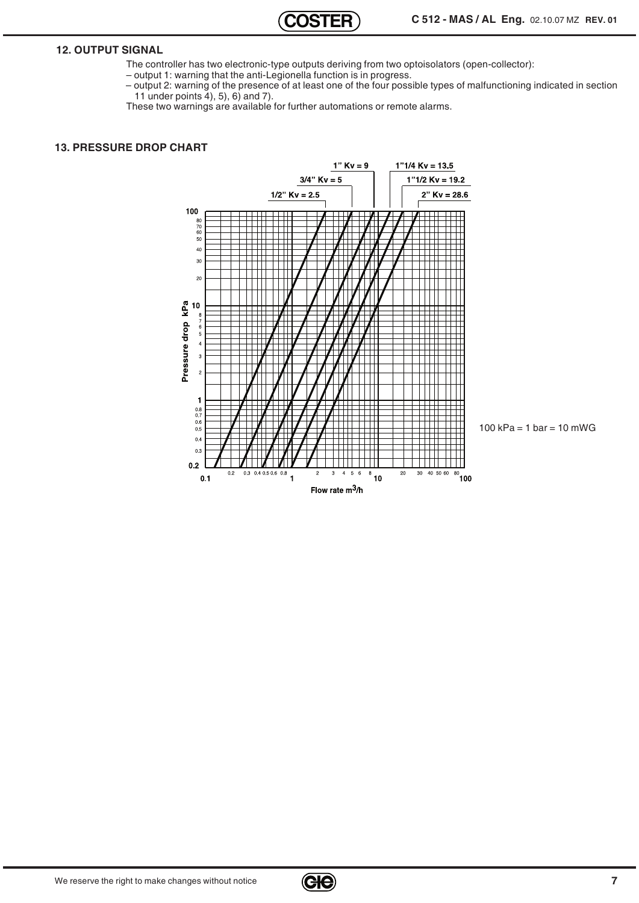## **12. OUTPUT SIGNAL**

- The controller has two electronic-type outputs deriving from two optoisolators (open-collector):
- output 1: warning that the anti-Legionella function is in progress.
- output 2: warning of the presence of at least one of the four possible types of malfunctioning indicated in section 11 under points 4), 5), 6) and 7).
- These two warnings are available for further automations or remote alarms.

### **13. PRESSURE DROP CHART**